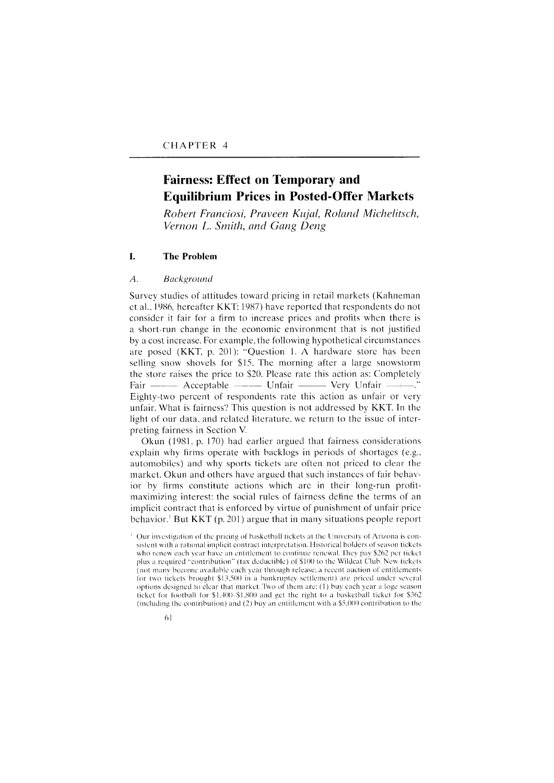# **Fairness: Effect on Temporary and Equilibrium Prices in Posted-Offer Markets**

Robert Franciosi, Praveen Kujal, Roland Michelitsch, Vernon L. Smith, and Gang Deng

#### I. **The Problem**

#### $\boldsymbol{A}$ . Background

Survey studies of attitudes toward pricing in retail markets (Kahneman et al., 1986, hereafter KKT; 1987) have reported that respondents do not consider it fair for a firm to increase prices and profits when there is a short-run change in the economic environment that is not justified by a cost increase. For example, the following hypothetical circumstances are posed (KKT, p. 201): "Question 1. A hardware store has been selling snow shovels for \$15. The morning after a large snowstorm the store raises the price to \$20. Please rate this action as: Completely Fair — Acceptable — Unfair — Very Unfair -Eighty-two percent of respondents rate this action as unfair or very unfair. What is fairness? This question is not addressed by KKT. In the light of our data, and related literature, we return to the issue of interpreting fairness in Section V.

Okun (1981, p. 170) had earlier argued that fairness considerations explain why firms operate with backlogs in periods of shortages (e.g., automobiles) and why sports tickets are often not priced to clear the market. Okun and others have argued that such instances of fair behavjor by firms constitute actions which are in their long-run profitmaximizing interest: the social rules of fairness define the terms of an implicit contract that is enforced by virtue of punishment of unfair price behavior.<sup>1</sup> But KKT (p. 201) argue that in many situations people report

Our investigation of the pricing of basketball tickets at the University of Arizona is consistent with a rational implicit contract interpretation. Historical holders of season tickets who renew each year have an entitlement to continue renewal. They pay \$262 per ticket plus a required "contribution" (tax deductible) of \$100 to the Wildcat Club. New tickets (not many become available each year through release; a recent auction of entitlements for two tickets brought \$13,500 in a bankruptcy settlement) are priced under several options designed to clear that market. Two of them are:  $(1)$  buy each year a loge season ticket for football for \$1,400-\$1,800 and get the right to a basketball ticket for \$362 (including the contribution) and  $(2)$  buy an entitlement with a \$5,000 contribution to the

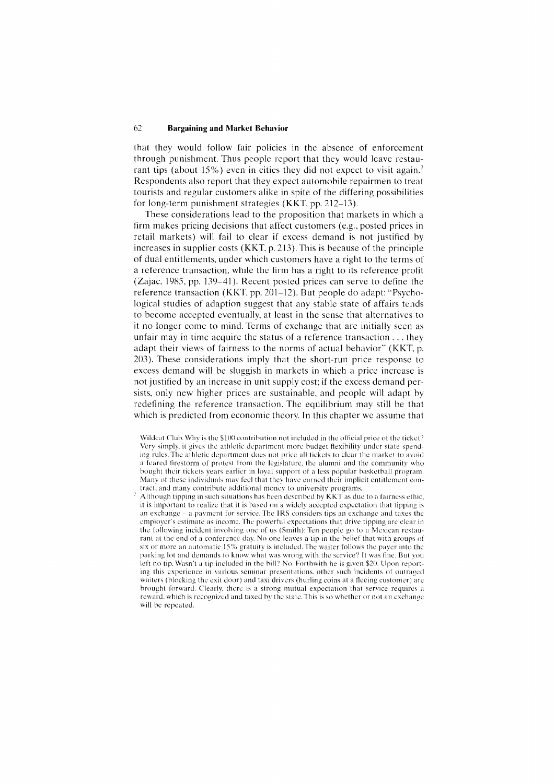that they would follow fair policies in the absence of enforcement through punishment. Thus people report that they would leave restaurant tips (about  $15\%$ ) even in cities they did not expect to visit again.<sup>2</sup> Respondents also report that they expect automobile repairmen to treat tourists and regular eustomers alike in spite of the differing possibilities for long-term punishment strategies  $(KKT, pp. 212-13)$ .

These considerations lead to the proposition that markets in which a firm makes pricing decisions that affect customers (e.g., posted prices in retail markets) will fail to clear if excess demand is not justified by increases in supplier costs  $(KKT, p. 213)$ . This is because of the principle of dual entitlements. under which customers have a right to the terms of a reference transaction. while the firm has a right to its reference proflt (Zajac, 19R5. pp. 139-41). Recent posted prices can serve to define the reference transaction (KKT, pp. 201-12). But people do adapt: "Psychological studies of adaption suggest that any stable state of affairs tends to become accepted eventually. at least in the sense that alternatives to it no longer come to mind. Terms of exchange that are initially seen as unfair may in time acquire the status of a reference transaction ... they adapt their views of fairness to the norms of actual behavior" (KKT, p. 203). These considerations imply that the short-run price response to excess demand will be sluggish in markets in which a price increase is not justified by an increase in unit supply cost; if the excess demand persists, only new higher prices are sustainable, and people will adapt by redefining the reference transaction. Thc equilibrium may still be that which is predicted from economic theory. **In** this chapter we assume that

Wildcat Club. Why is the \$100 contribution not included in the official price of the ticket? Verv simply. it gives the athletic department more hudget flexihility under state spending rules. The athletic department does not price all tickets to clear the market to avoid a feared firestorm of protest from the legislature, the alumni and the community who bought their tickets years earlier in loyal support of a less popular basketball program. Many of these individuals may feel that they have earned their implicit entitlement contraet. and many eontribute additional money lo university programs.

Although tipping in such situations has been described by KKT as due to a fairness ethic, it is important to realize that it is based on a widely accepted expectation that tipping is an exchange - a payment for service. The IRS considers tips an exchange and taxes the cmployer"s estimate as income. The powerful expectations that drive tipping are clear in the following incident involving one of us (Smith): Ten people go to a Mexican restaurant at the end of a conference day. No one leaves a tip in the belief that with groups of six or more an automatic 15% gratuity is included. The waiter follows the payer into the parking lot and demands to know what was wrong with the service? It was fine. But you left no tip. Wasn't a tip included in the bill? No. Forthwith he is given \$20. Upon reporting this experience in various seminar presentations. other such incidents of outraged waiters (blocking the exit door) and taxi drivers (hurling coins at a fleeing customer) are brought forward. Clearly, there is a strong mutual expectation that service requires a reward, which is recognized and taxed by the state. This is so whether or not an exchange will be repeated.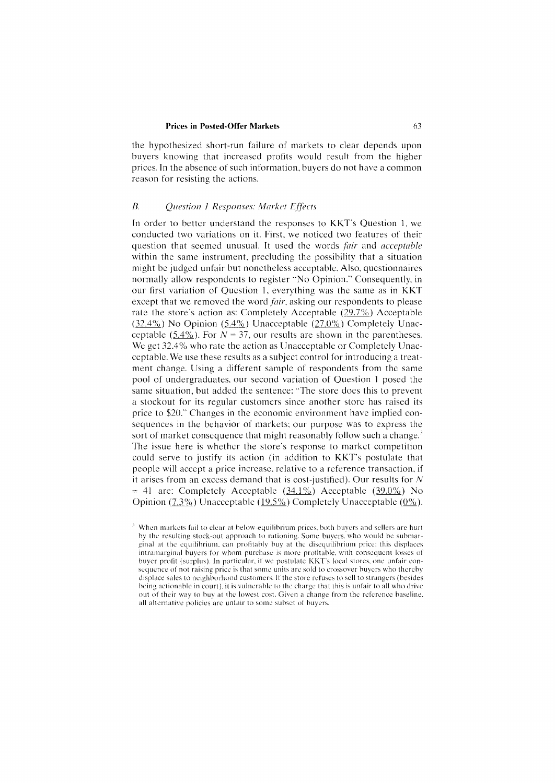the hypothesized short-run failure of markets to clear depends upon buyers knowing that increased profits would result from the higher prices. **In** the absence of such information, buyers do not have a common reason for resisting the actions.

#### *B. Question 1 Responses: Market Effects*

In order to better understand the responses to KKT's Question 1, we conducted two variations on it. First, we noticcd two features of their question that seemed unusual. It used the words *fair* and *acceptable* within thc same instrument, prccluding the possibility that a situation might be judged unfair but nonetheless acceptable. Also, questionnaires normally allow respondents to register "'No Opinion." Consequently. in our first variation of Question l. everything was the same as in **KKT**  except that we removed the word *fair*, asking our respondents to please rate the store's action as: Completely Acceptable  $(29.7%)$  Acceptable  $(32.4\%)$  No Opinion  $(5.4\%)$  Unacceptable  $(27.0\%)$  Completely Unacceptable (5.4%). For  $N = 37$ , our results are shown in the parentheses. We get 32.4% who rate the action as Unacceptable or Completely Unacceptable. We use these results as a subject control for introducing a treatment change. Using a different sample of respondents from the same pool of undergraduates, our second variation of Question 1 posed the same situation, but added the sentence: "The store does this to prevent a stockout for its regular customers since another store has raised its price to \$20." Changes in the economic environment have implied consequences in the behavior of markets; our purpose was to express the sort of market consequence that might reasonably follow such a change.<sup>3</sup> The issue here is whether the store's response to market competition could serve to justify its action (in addition to KKT's postulate that people will accept a price increase, relative to a reference transaction. if it arises from an excess demand that is cost-justified). Our results for  $N$  $= 41$  are: Completely Acceptable  $(34.1\%)$  Acceptable  $(39.0\%)$  No Opinion  $(7.3\%)$  Unacceptable  $(19.5\%)$  Completely Unacceptable  $(0\%)$ .

When markets fail to clear at below-equilibrium prices, both buyers and sellers are hurt by the resulting stock-out approach to rationing. Sorne buvers, who would be submarginal at the equilibrium, can profltably buy at the disequilibrium price: this displaces intramarginal buyers for whom purchase is more profitable, with consequent losses of buyer profit (surplus). In particular, if we postulate KKT's local stores, one unfair consequence of not raising price is that some units are sold to crossover buyers who thereby displace sales to neighborhood customers. If the store refuses to sell to strangers (besides bcing actionable in court), it is vulnerable to the chargc that this is unfair to all who drive out of their way to buy at the lowest cost. Given a change from the reference baseline, all alternative policies are unfair to some subset of buyers.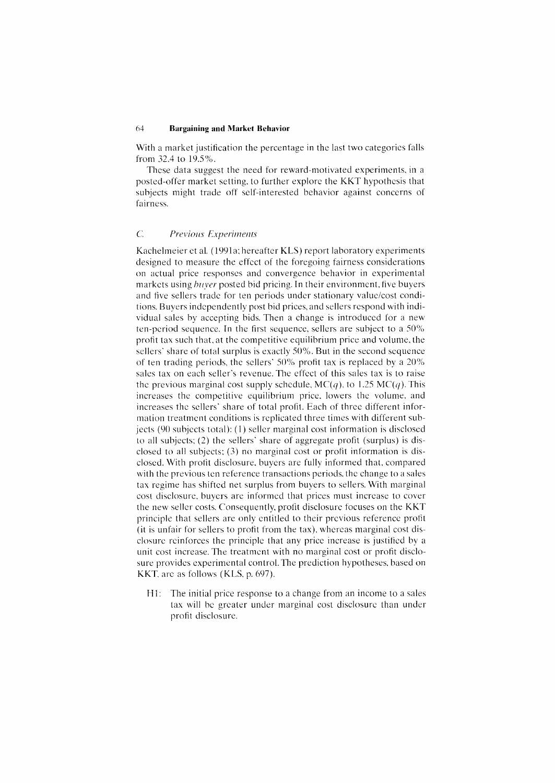With a market justification the percentage in the last two categories falls from 32.4 to 19.5%.

These data suggest the need for reward-motivated experiments. in a posted-offer market setting. to further explore the KKT hypothesis that subjects might trade off self-interested behavior against concerns of fairness.

# C. *Previous Experiments*

Kachelmeier et al. (1991 a: hereafter KLS) report laboratory experiments designed to measure the effect of the foregoing fairness considerations on actual price responses and convergence behavior in experimental markets using *huyer* posted bid pricing. In their environment. five buyers and five sellers trade for ten periods under stationary value/cost conditions. Buyers independently post bid prices. and sellers respond with individual sales by accepting bids. Then a change is introduced for a new ten-period sequence. In the first sequence, sellers are subject to a  $50\%$ profit tax such that. at the competitive equilibrium price and volume. the sellers' share of total surplus is exactly 50%. But in the second sequence of ten trading periods, the sellers'  $50\%$  profit tax is replaced by a  $20\%$ sales tax on each seller's revenue. The effect of this sales tax is to raise the previous marginal cost supply schedule,  $MC(q)$ , to 1.25  $MC(q)$ . This increases the competitive equilibrium price. lowers the volume. and increases the sellers' share of total profit. Each of three different information treatment conditions is replicated three times with different subjects  $(90$  subjects total):  $(1)$  seller marginal cost information is disclosed to all subjects;  $(2)$  the sellers' share of aggregate profit (surplus) is disclosed to alt subjects: (3) no marginal cost or profit information is disclosed. With profit disclosure, buyers are fully informed that, compared with the previous ten reference transactions periods. the change to a sales tax regime has shifted net surplus from buyers to sellers. With marginal cost disclosure, buyers are informed that prices must increase to cover the new seller costs. Consequently, profit disclosure focuses on the KKT principie that sellers are only entitled to their previous reference profit  $(i)$  is unfair for sellers to profit from the tax), whereas marginal cost disclosure reinforces the principie that any price increase is justified by a unit cost increase. The treatment with no marginal cost or profit disclosure provides experimental control. The prediction hypotheses. based on KKT, are as follows (KLS, p. 697).

H1: The initial price response to a change from an income to a sales tax will be greater under marginal cost disclosure than under profit disclosure.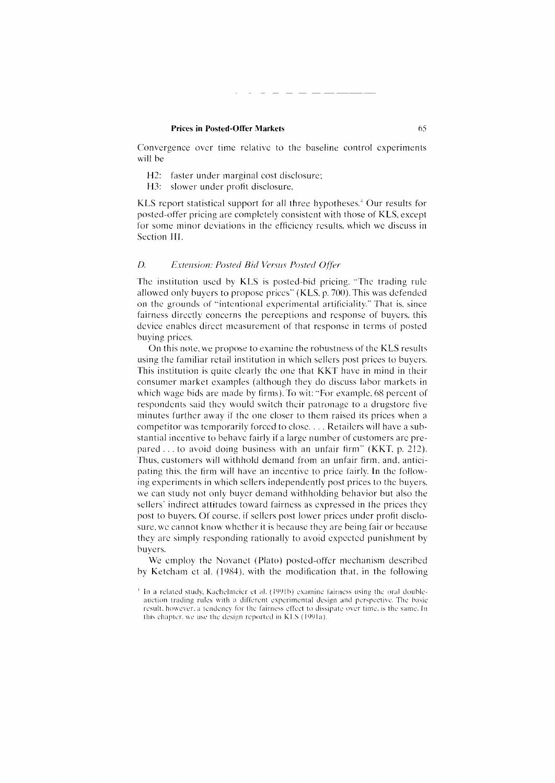Convergence over time relative to the baseline control experiments will be

- H2: faster under marginal cost disclosure;
- H3: slower under profit disclosure.

KLS report statistical support for all three hypotheses.<sup>4</sup> Our results for posted-offer pricing are completely consistent with those of KLS, except for some minor deviations in the efficiency results, which we discuss in Section III.

#### $\overline{D}$ Extension: Posted Bid Versus Posted Offer

The institution used by KLS is posted-bid pricing. "The trading rule allowed only buyers to propose prices" (KLS, p. 700). This was defended on the grounds of "intentional experimental artificiality." That is, since fairness directly concerns the perceptions and response of buyers, this device enables direct measurement of that response in terms of posted buying prices.

On this note, we propose to examine the robustness of the KLS results using the familiar retail institution in which sellers post prices to buyers. This institution is quite clearly the one that KKT have in mind in their consumer market examples (although they do discuss labor markets in which wage bids are made by firms). To wit: "For example, 68 percent of respondents said they would switch their patronage to a drugstore five minutes further away if the one closer to them raised its prices when a competitor was temporarily forced to close.... Retailers will have a substantial incentive to behave fairly if a large number of customers are prepared ... to avoid doing business with an unfair firm" (KKT, p. 212). Thus, customers will withhold demand from an unfair firm, and, anticipating this, the firm will have an incentive to price fairly. In the following experiments in which sellers independently post prices to the buyers, we can study not only buyer demand withholding behavior but also the sellers' indirect attitudes toward fairness as expressed in the prices they post to buyers. Of course, if sellers post lower prices under profit disclosure, we cannot know whether it is because they are being fair or because they are simply responding rationally to avoid expected punishment by buvers.

We employ the Novanet (Plato) posted-offer mechanism described by Ketcham et al. (1984), with the modification that, in the following

<sup>&</sup>lt;sup>4</sup> In a related study, Kachelmeier et al. (1991b) examine fairness using the oral doubleauction trading rules with a different experimental design and perspective. The basic result, however, a tendency for the fairness effect to dissipate over time, is the same. In this chapter, we use the design reported in KLS (1991a).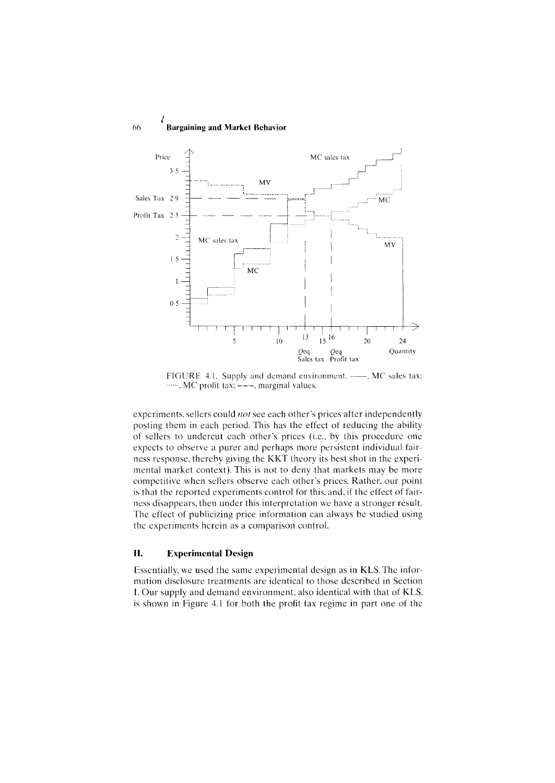66



FIGURE 4.1. Supply and demand environment. — MC sales tax; ...... MC profit tax: --- marginal values.

experiments, sellers could not see each other's prices after independently posting them in each period. This has the effect of reducing the ability of sellers to undercut each other's prices (i.e., by this procedure one expects to observe a purer and perhaps more persistent individual fairness response, thereby giving the KKT theory its best shot in the experimental market context). This is not to deny that markets may be more competitive when sellers observe each other's prices. Rather, our point is that the reported experiments control for this, and, if the effect of fairness disappears, then under this interpretation we have a stronger result. The effect of publicizing price information can always be studied using the experiments herein as a comparison control.

#### H. **Experimental Design**

Essentially, we used the same experimental design as in KLS. The information disclosure treatments are identical to those described in Section I. Our supply and demand environment, also identical with that of KLS, is shown in Figure 4.1 for both the profit tax regime in part one of the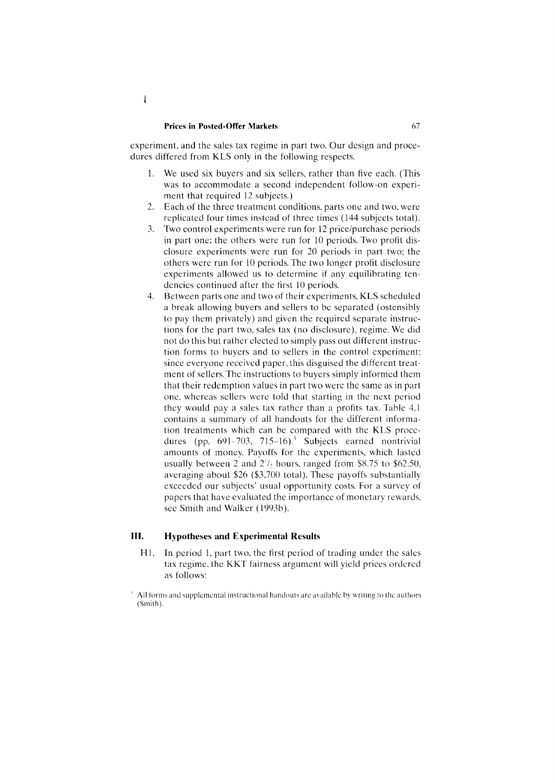experiment, and the sales tax regime in part two. Our design and procedures differed from KLS only in the following respects.

- 1. We used six buyers and six sellers, rather than five each. (This was to accommodate a second independent follow-on experiment that required 12 subjects.)
- 2. Each of the three treatment conditions. parts one and two, were replicated four times instead of three times (144 subjects total).
- 3. Two control experiments were run for 12 price/purchase periods in part one; the others were run for 10 periods. Two profit disclosure experiments were run for 20 periods in part two; the others were run for 10 periods. The two 10nger profit disclosure experiments allowed us to determine if any equilibrating tendencies continued after the first 10 periods.
- 4. Between parts one and two of their experiments. KLS scheduled a break allowing buyers and sellers to be separated (ostensibly to pay them privately) and given the required separate instructions for the part two. sales tax (no disclosure), regime. We did not do this but rather elected to simply pass out different instruction forms to buyers and to sellers in the control experiment: since everyone received paper, this disguised the different treatment of sellers. The instructions to buyers simply informed them that their redemption values in part two were the same as in part one. whereas sellers were told that starting in the next period they would pay a sales tax rather than a profits tax. Table 4.1 contains a summary of all handouts for the different information treatments which can be compared with the KLS procedures (pp.  $691-703$ ,  $715-16$ ).<sup>5</sup> Subjects earned nontrivial amounts of money. Payoffs for the experiments, which lasted usually between 2 and  $2\frac{1}{2}$  hours, ranged from \$8.75 to \$62.50, averaging about \$26 (\$3,700 total). These payoffs substantially exceeded our subjects' usual opportunity costs. For a survey of papers that have evaluated the importance of monetary rewards. see Smith and Walker (1993b).

### **111. Hypotheses and Experimental Results**

HI. In period 1, part two, the first period of trading under the sales tax regime. the KKT fairness argument will yield prices ordered as follows:

All forms and supplemental instructional handouts are available by writing to the authors (Smith).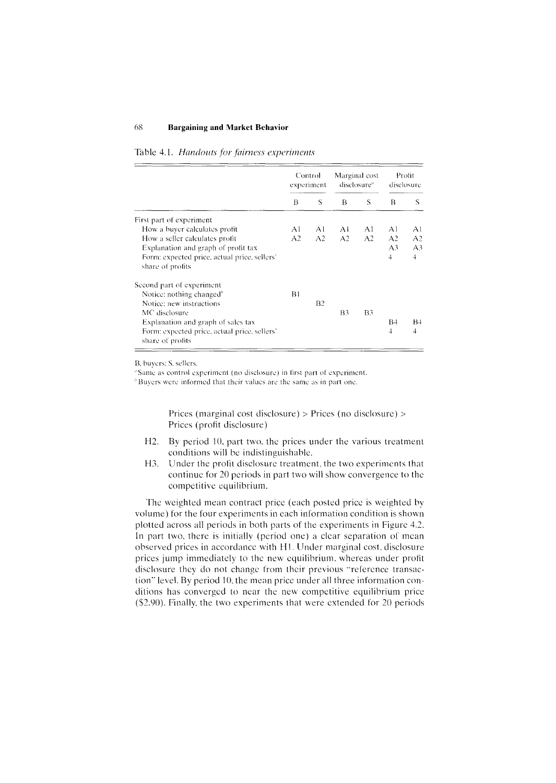|  |  | Table 4.1. <i>Handouts for fairness experiments</i> |
|--|--|-----------------------------------------------------|

|                                                                  | Control<br>experiment |    | Marginal cost<br>disclosure" |                | Profit<br>disclosure |                |
|------------------------------------------------------------------|-----------------------|----|------------------------------|----------------|----------------------|----------------|
|                                                                  | B                     | S  | B                            | S              | B                    | S              |
| First part of experiment                                         |                       |    |                              |                |                      |                |
| How a buyer calculates profit                                    |                       | Al | Αł                           | A1             | Αl                   | Αl             |
| How a seller calculates profit                                   | A2                    | A2 | A <sub>2</sub>               | A <sub>2</sub> | A <sub>2</sub>       | A <sub>2</sub> |
| Explanation and graph of profit tax                              |                       |    |                              |                | A <sub>3</sub>       | A <sub>3</sub> |
| Form: expected price, actual price, sellers'<br>share of profits |                       |    |                              |                | $\overline{4}$       | $\overline{4}$ |
| Second part of experiment                                        |                       |    |                              |                |                      |                |
| Notice: nothing changed <sup><math>h</math></sup>                | ΒI                    |    |                              |                |                      |                |
| Notice: new instructions                                         |                       | B2 |                              |                |                      |                |
| MC disclosure                                                    |                       |    | B3                           | <b>B3</b>      |                      |                |
| Explanation and graph of sales tax                               |                       |    |                              |                | B4                   | B4             |
| Form: expected price, actual price, sellers'<br>share of profits |                       |    |                              |                | 4                    | 4              |

B, buyers; S, sellers.

"Same as control experiment (no disclosure) in first part of experiment.

<sup>h</sup>Buyers were informed that their values are the same as in part one.

Prices (marginal cost disclosure) > Prices (no disclosure) > Prices (profit disclosure)

- H2. By period 10, part two, the prices under the various treatment conditions will be indistinguishable.
- H3. Under the profit disclosure treatment, the two experiments that continue for 20 periods in part two will show convergence to the competitive equilibrium.

The weighted mean contract price (each posted price is weighted by volume) for the four experiments in each information condition is shown plotted across all periods in both parts of the experiments in Figure 4.2. In part two, there is initially (period one) a clear separation of mean observed prices in accordance with H1. Under marginal cost, disclosure prices jump immediately to the new equilibrium, whereas under profit disclosure they do not change from their previous "reference transaction" level. By period 10, the mean price under all three information conditions has converged to near the new competitive equilibrium price (\$2.90). Finally, the two experiments that were extended for 20 periods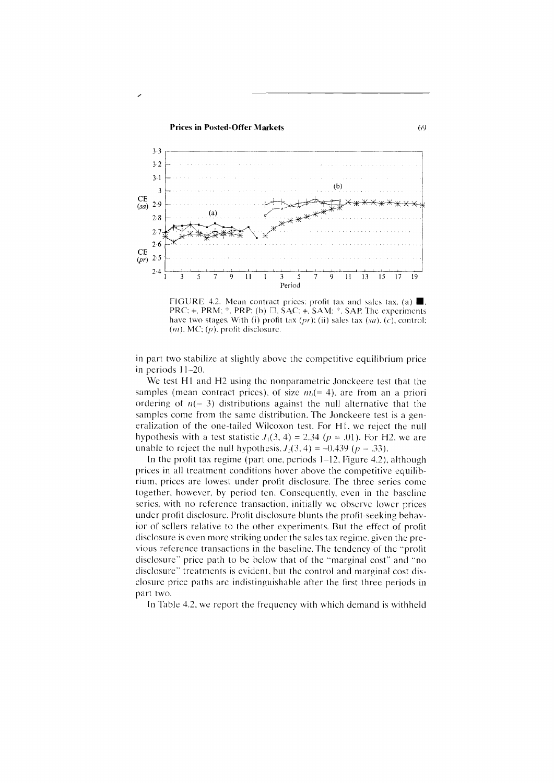

FIGURE 4.2. Mean contract prices: profit tax and sales tax. (a)  $\blacksquare$ , PRC: +, PRM: \*, PRP; (b)  $\Box$ . SAC: +, SAM: \*, SAP. The experiments have two stages. With (i) profit tax  $(pr)$ ; (ii) sales tax  $(sa)$ . (c), control;  $(m)$ , MC;  $(p)$ , profit disclosure.

in part two stabilize at slightly above the competitive equilibrium price in periods 11-20.

We test H1 and H2 using the nonparametric Jonckeere test that the samples (mean contract prices), of size  $m<sub>i</sub>(= 4)$ , are from an a priori ordering of  $n(= 3)$  distributions against the null alternative that the samples come from the same distribution. The Jonckeere test is a generalization of the one-tailed Wilcoxon test. For H1, we reject the null hypothesis with a test statistic  $J_1(3, 4) = 2.34$  ( $p = .01$ ). For H2, we are unable to reject the null hypothesis,  $J_2(3, 4) = -0.439$  ( $p = .33$ ).

In the profit tax regime (part one, periods  $1-12$ , Figure 4.2), although prices in all treatment conditions hover above the competitive equilibrium, prices are lowest under profit disclosure. The three series come together, however, by period ten. Consequently, even in the baseline series. with no reference transaction. initially we observe lower prices under protit disclosure. Profit disclosure blunts the profit-seeking behavior of sellers relative to the other experiments. But the effect of profit disclosure is even more striking under the sales tax regime. given the previous reference transactions in the baseline. The tendency of the "protit disclosure" price path to be below that of the "marginal cost" and "no disclosure" treatments is evident. but the control and marginal cost disclosure price paths are indistinguishable after the first three periods in part two.

In Table 4.2, we report the frequency with which demand is withheld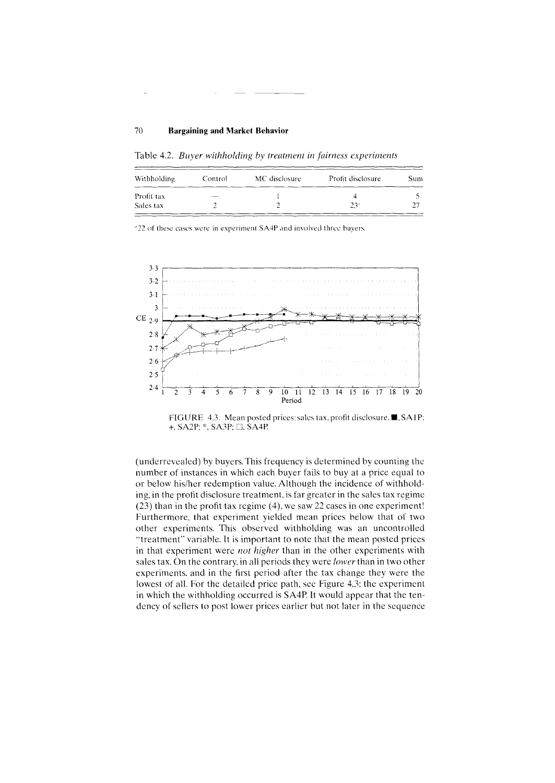Table 4.2. Buyer withholding by *treatment in fairness experiments* 

| Withholding | Control | MC disclosure | Profit disclosure | Sum. |
|-------------|---------|---------------|-------------------|------|
| Profit tax  |         |               |                   |      |
| Sales tax   |         |               | $23^{\circ}$      |      |

 $"22$  of these cases were in experiment SA4P and involved three buyers.





(underrevealed) by buyers. This frequency is determined by counting the number of instances in which each buyer fails to buy at a price equal to or below his/her redemption value. Although the incidence of withholding, in the profit disclosure treatment, is far greater in the sales tax regime (23) than in the profit tax regime (4). we saw 22 cases in one experiment! Furthermore. that experiment yielded mean prices below that of two other experiments. This observed withholding was an uncontrolled "treatment" variable. It is important to note that the mean posted prices in that experiment were *not higher* than in the other experiments with sales tax. On the contrary. in all periods they were *lower* than in two other experiments. and in the first period after the tax change they were the lowest of all. For the detailed price path, see Figure 4.3; the experiment in which the withholding occurred is SA4P. lt would appear that the tendency of sellers to post lower prices earlier but not later in the sequence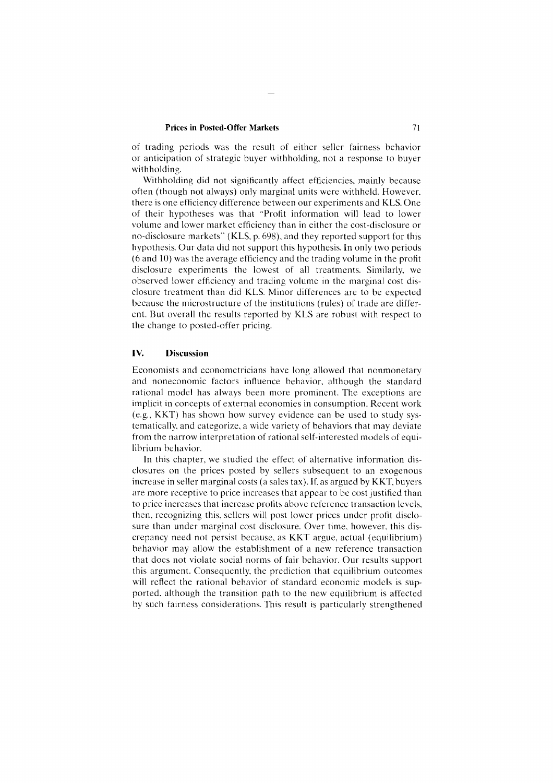of trading periods was the result of either seller fairness behavior or anticipation of strategic buyer withholding, not a response to buyer withholding.

Withholding did not significantly affect efficiencies, mainly because often (though not always) only marginal units were withheld. However, there is one efficiency difference between our experiments and KLS. One of their hypotheses was that "Profit information will lead to lower volume and lower market cfficiency than in either the cost-disclosure or no-disclosure markets" (KLS, p. 698), and they reported support for this hypothesis. Our data did not support this hypothesis. In only two periods (6 and 10) was the average efficiency and the trading volume in the profit disclosure experiments the lowest of all treatments. Similarly, we observed lower efficiency and trading volume in the marginal cost disclosure treatment than did KLS. Minor differences are to be expected because the microstructure of the institutions (rules) of trade are different. But overall the results reported by KLS are robust with respect to the change to posted-offer pricing.

# **IV. Discussion**

Economists and econometricians have long allowed that nonmonetary and noneconomic factors inftuence behavior, although the standard rational model has always been more prominent. The exceptions are implicit in concepts of external economies in consumption. Recent work (e.g., KKT) has shown how survey evidence can be used to study systematically, and categorize, a wide variety of behaviors that may deviate from the narrow interpretation of rational self-interested models of equilibrium behavior.

In this chapter, we studied the effect of alternative information disclosures on the prices posted by sellers subsequent to an exogenous increase in seller marginal costs (a sales tax). If, as argued by KKT, buyers are more receptive to price increases that appear to be cost justified than to price increases that increase profits aboye reference transaction levels. then, recognizing this, sellers will post lower prices under profit disclosure than under marginal cost disclosure. Over time, however, this discrepancy need not persist because, as KKT argue, actual (equilibrium) behavior may allow the estahlishment of a new reference transaction that does not violate social norms of fair behavior. Our results support this argument. Consequently, the prediction that equilibrium outcomes will reflect the rational behavior of standard economic models is supported, although the transition path to the new equilibrium is affected by such fairness considerations. This result is particularly strengthened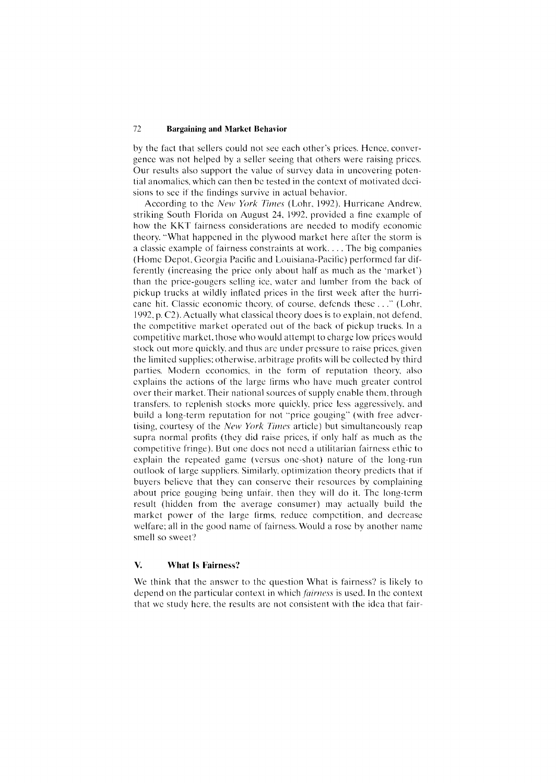by the fact that sellers could not see each other's prices. Hence, convergence was not helped by a seller seeing that others were raising prices. Our results also support the value of survey data in uncovering potential anomalies, which can then be tested in the context of motivated decisions to see if the findings survive in actual behavior.

According to the *New York Times* (Lohr, 1992), Hurricane Andrew, striking South Florida on August 24, 1992, provided a fine example of how the KKT fairness considerations are needed to modify economic theory. "What happened in the plywood market here after the storm is a classic example of fairness constraints at work .... The big companies (Home Depot. Georgia Pacific and Louisiana-Pacific) performed far differently (increasing the price only about half as much as the 'marker) than the price-gougers selling ice, water and lumber from the back of pickup trucks at wildly inflated prices in the (¡rst week after the hurricane hit. Classic economic theory, of course, defends these ... " (Lohr, 1992, p.  $C2$ ). Actually what classical theory does is to explain, not defend. the competitive market operated out of the back of pickup trucks. In a competitive market. those who would attempt to charge low prices would stock out more quickly, and thus are under pressure to raise prices, given the limited supplies: otherwise. arbitrage profits will be collected by third parties. Modern economics, in the form of reputation theory, also explains the actions of the large firms who have much greater control over their market. Their national sources of supply enable them, through transfers. to replenish stocks more quickly. price less aggressively, and build a long-term reputation for not "price gouging" (with free advertising, courtesy of the *Ncw York Times* article) but simultaneously reap supra normal profits (they did raise prices, if only half as much as the competitive fringe). But one does not need a utilitarian fairness ethic to explain the repeated game (versus one-shot) nature of the long-run outlook of large suppliers. Similarly, optimization theory predicts that if buyers believe that they can conserve their resources by complaining about price gouging being unfair, then they will do it. The long-term result (hidden from the average consumer) may actually build the market power of the large firms, reduce competition. and decrease welfare; all in the good name of fairness. Would a rose by another name smell so sweet?

# **V. What Is Fairness'!**

We think that the answer to the question What is fairness? is likely to depend on the particular context in which *fairness* is used. In the context that we study here, the results are not consistent with the idea that fair-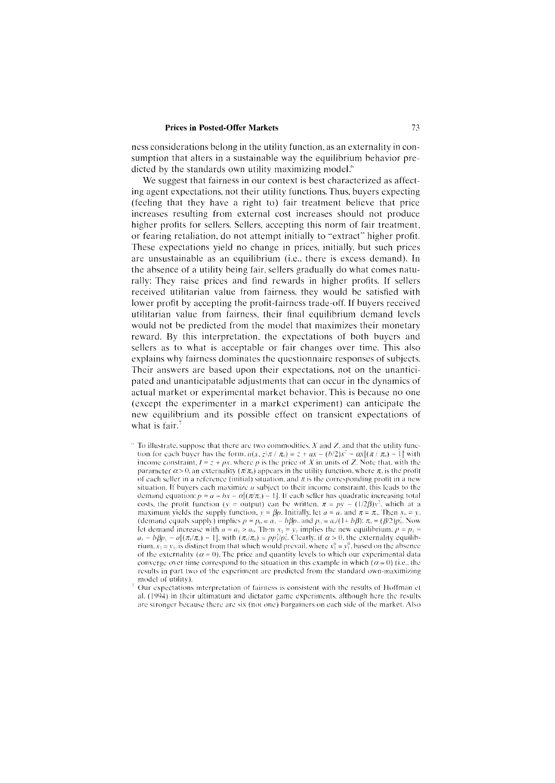ness considerations belong in the utility function, as an externality in consumption that alters in a sustainable way the equilibrium behavior predicted by the standards own utility maximizing model. $\delta$ 

We suggest that fairness in our context is best characterized as affecting agcnt expectations, not their utility funetions. Thus, buyers expecting (fccling that they have a right to) fair treatment believe that price increases resulting from external cost increases should not produce higher profits for sellers. Sellers, accepting this norm of fair treatment, or fearing retaliation, do not attempt initially to "extract" higher profit. These expectations yield no change in prices, initially, but such prices are unsustainable as an equilibrium (i.e., there is excess demand). In the absence of a utility being fair, sellers gradually do what comes naturally: They raise prices and find rewards in higher profits. If sellers received utilitarian value from fairness, they would be satisfied with lower profit by accepting the profit-fairness trade-off. If buyers received utilitarian value from fairness, their final equilibrium demand levels would not be predicted from the model that maximizes their monetary reward. By this interpretation, the expectations of both buyers anc\ sellers as to what is acceptable or fair changes over time. This also explains why fairness dominates the questionnairc responses of subjects. Their answers are based upon their expectations, not on the unanticipated and unanticipatable adjustments that can occur in the dynamics of actual market or experimental market behavior. This is beeause no one (except the expcrimenter in a market experiment) can anticipate the new equilibrium and its possible effect on transient expectations of what is fair. $7$ 

- $"$  To illustrate, suppose that there are two commodities, X and Z, and that the utility function for each buyer has the form,  $u(x, z/\pi / \pi_0) = z + ax - (b/2)x^2 - \alpha x[(\pi / \pi_0) - 1]$  with income constraint,  $I = z + px$ , where *p* is the price of *X* in units of *Z*. Note that, with the parameter  $\alpha > 0$ . an externality ( $\pi/\pi$ <sub>*i*</sub>) appears in the utility function. where  $\pi$ <sub>*i*</sub> is the profit of each seller in a reference (initial) situation, and  $\pi$  is the corresponding profit in a new situation. If buyers each maximize  $u$  subject to their income constraint, this leads to the demand equation:  $p = a - bx - \alpha[(\pi/\pi_0) - 1]$ . If each seller has quadratic increasing total costs, the profit function ( $y =$  output) can be written.  $\pi = py - (1/2\beta)y^2$ , which at a maximum yields the supply function,  $y = \beta p$ . Initially, let  $a = a_0$  and  $\pi = \pi_0$ . Then  $x_0 = y_0$ (demand equals supply) implies  $p = p_0 = a_0 - b\beta p_0$  and  $p_0 = a_0/(1+b\beta)$ :  $\pi_0 = (\beta/2)p_0^2$ . Now Iet demand increase with  $a = a_1 > a_0$ . Then  $x_1 = y_1$  implies the new equilibrium.  $p = p_1 =$  $a_1 - b\beta p_1 - a[(\pi_1/\pi_0) - 1]$ , with  $(\pi_1/\pi_0) = \rho p_1^2/\rho_0^2$ . Clearly, if  $\alpha > 0$ , the externality equilibrium.  $x_1 = y_1$  is distinct from that which would prevail, where  $x_1^* = y_1^*$ , based on the absence of the externality  $(\alpha = 0)$ . The price and quantity levels to which our experimental data converge over time correspond to the situation in this example in which  $(\alpha = 0)$  (i.e., the results in part two of the experiment are predicted from the standard own-maximizing model of utility).
- Our expectations interpretation of fairness is consistent with the results of Hoffman et al. (1994) in their ultimatum and dictator game experiments, although here the results are stronger because there are six (not one) bargainers on each side of the market. Also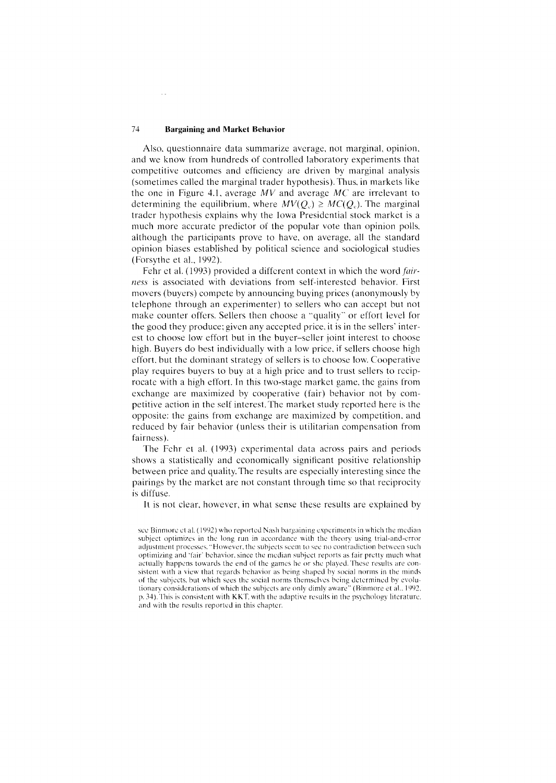AIso, questionnaire data summarize average, not marginal, opinion, and we know from hundreds of controlled laboratory experiments that competitive outcomes and efficiency are driven by marginal analysis (sometimes called the marginal trader hypothesis). Thus, in markets like the one in Figure 4.1, average MV and average MC are irrelevant to determining the equilibrium, where  $MV(Q<sub>c</sub>) \geq MC(Q<sub>c</sub>)$ . The marginal trader hypothesis explains why the Iowa Presidential stock market is a much more accurate predictor of the popular vote than opinion polls, although the participants prove to have, on average, all the standard opinion biases established by politica! science and sociologica! studies (Forsythe et al., 1992).

Fehr et al. (1993) provided a different context in which the word *fairness* is associated with deviations from self-interested behavior. First movers (buyers) compete by announcing buying priees (anonymously by telephone through an experimenter) to sellers who can accept but not make counter offers. Sellers then choose a "quality" or effort level for the good they produce; given any accepted price, it is in the sellers' interest to choose low effort but in the buyer-seller joint interest to choose high. Buyers do best individually with a low price, if sellers choose high effort, but the dominant strategy of sellers is to choose low. Cooperative play requires buyers to buy at a high price and to trust sellers to reciprocate with a high effort. **In** this two-stage market game, the gains from exchange are maximized by cooperative (fair) behavior not by competitive action in the self interest. The market study reported here is the opposite: the gains from exchange are maximized by competition, and reduced by fair behavior (unless their is utilitarian compensation from fairness ).

The Fehr et al. (1993) experimental data across pairs and periods shows a statistically and economically significant positive relationship between price and quality. The results are especially interesting since the pairings by the market are not constant through time so that reciprocity is diffuse.

It is not clear, however, in what sense these results are explained by

see Binmore et al. (1992) who reported Nash bargaining experiments in which the median suhject optimizes in the long run in accordance with tbe tbeory using trial-and-crror adjustment processes. "However, the subjects seem to see no contradiction between such optimizing and 'fair' behavior, since the median subject reports as fair pretty much what actually happens towards the end of the games he or she played. These results are consistent with a view that regards behavior as being shaped by social norms in the minds of the subjects, but which sees the social norms themselves being determined by evolutionary considerations of which the subjects are only dimly aware" (Binmore et al., 1992, p. 34). This is consistent with KKT, with the adaptive results in the psychology literature. and with the results reported in this chapter.